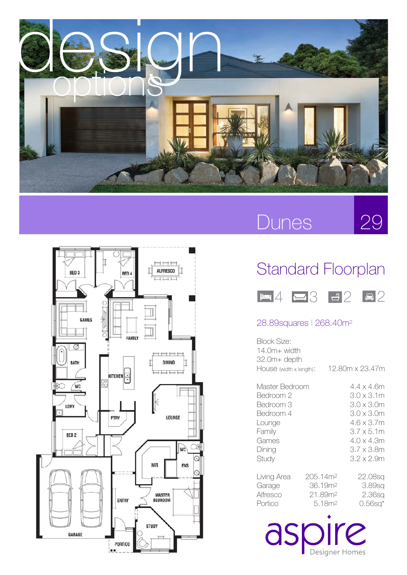

### Dunes

29



### Standard Floorplan



### 28.89squares l 268.40m2

| Block Size:<br>14.0m+ width<br>32.0m+ depth<br>HOUSE (width x length):                                |                                                                                          | 12.80m x 23.47m |                                                                                                                                                    |
|-------------------------------------------------------------------------------------------------------|------------------------------------------------------------------------------------------|-----------------|----------------------------------------------------------------------------------------------------------------------------------------------------|
| Master Bedroom<br>Bedroom 2<br>Bedroom 3<br>Bedroom 4<br>Lounge<br>Family<br>Games<br>Dining<br>Study |                                                                                          |                 | 4.4 x 4.6m<br>3.0 x 3.1m<br>$3.0 \times 3.0$ m<br>$3.0 \times 3.0$ m<br>4.6 x 3.7m<br>$3.7 \times 5.1$ m<br>4.0 x 4.3m<br>3.7 x 3.8m<br>3.2 x 2.9m |
| Living Area<br>Garage<br>Alfresco<br>Portico                                                          | 205.14m <sup>2</sup><br>36.19m <sup>2</sup><br>21.89m <sup>2</sup><br>5.18m <sup>2</sup> |                 | 22.08sq<br>3.89sa<br>2.36sa<br>$0.56$ sq $*$                                                                                                       |

aspire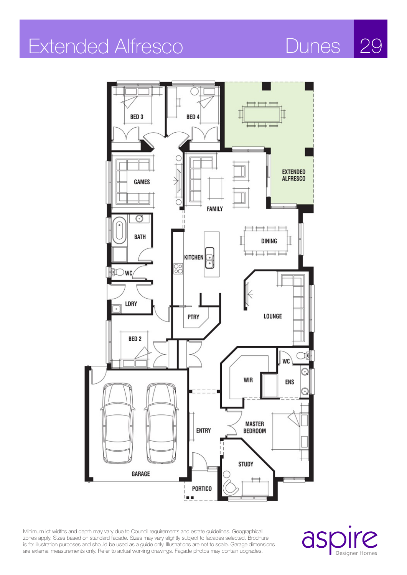# Extended Alfresco Dunes 29



Minimum lot widths and depth may vary due to Council requirements and estate guidelines. Geographical zones apply. Sizes based on standard facade. Sizes may vary slightly subject to facades selected. Brochure is for illustration purposes and should be used as a guide only. Illustrations are not to scale. Garage dimensions are external measurements only. Refer to actual working drawings. Façade photos may contain upgrades.